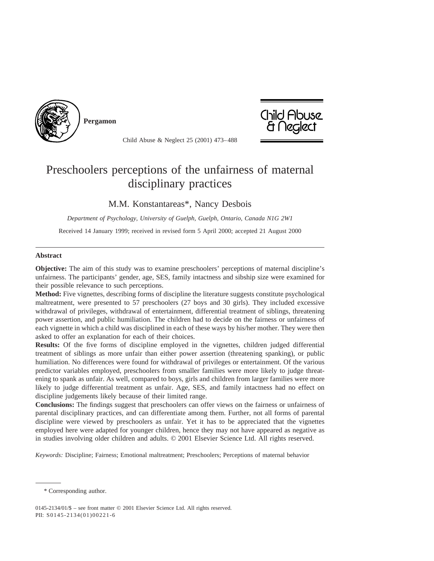

**Pergamon**



Child Abuse & Neglect 25 (2001) 473–488

# Preschoolers perceptions of the unfairness of maternal disciplinary practices

### M.M. Konstantareas\*, Nancy Desbois

*Department of Psychology, University of Guelph, Guelph, Ontario, Canada N1G 2W1*

Received 14 January 1999; received in revised form 5 April 2000; accepted 21 August 2000

#### **Abstract**

**Objective:** The aim of this study was to examine preschoolers' perceptions of maternal discipline's unfairness. The participants' gender, age, SES, family intactness and sibship size were examined for their possible relevance to such perceptions.

**Method:** Five vignettes, describing forms of discipline the literature suggests constitute psychological maltreatment, were presented to 57 preschoolers (27 boys and 30 girls). They included excessive withdrawal of privileges, withdrawal of entertainment, differential treatment of siblings, threatening power assertion, and public humiliation. The children had to decide on the fairness or unfairness of each vignette in which a child was disciplined in each of these ways by his/her mother. They were then asked to offer an explanation for each of their choices.

**Results:** Of the five forms of discipline employed in the vignettes, children judged differential treatment of siblings as more unfair than either power assertion (threatening spanking), or public humiliation. No differences were found for withdrawal of privileges or entertainment. Of the various predictor variables employed, preschoolers from smaller families were more likely to judge threatening to spank as unfair. As well, compared to boys, girls and children from larger families were more likely to judge differential treatment as unfair. Age, SES, and family intactness had no effect on discipline judgements likely because of their limited range.

**Conclusions:** The findings suggest that preschoolers can offer views on the fairness or unfairness of parental disciplinary practices, and can differentiate among them. Further, not all forms of parental discipline were viewed by preschoolers as unfair. Yet it has to be appreciated that the vignettes employed here were adapted for younger children, hence they may not have appeared as negative as in studies involving older children and adults. © 2001 Elsevier Science Ltd. All rights reserved.

*Keywords:* Discipline; Fairness; Emotional maltreatment; Preschoolers; Perceptions of maternal behavior

<sup>\*</sup> Corresponding author.

<sup>0145-2134/01/\$ –</sup> see front matter © 2001 Elsevier Science Ltd. All rights reserved. PII: S0145-2134(01)00221-6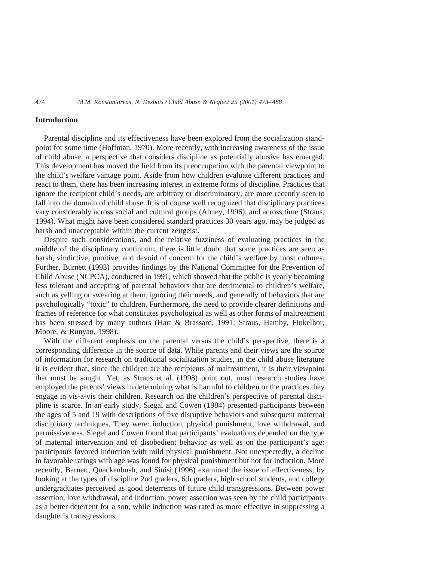#### **Introduction**

Parental discipline and its effectiveness have been explored from the socialization standpoint for some time (Hoffman, 1970). More recently, with increasing awareness of the issue of child abuse, a perspective that considers discipline as potentially abusive has emerged. This development has moved the field from its preoccupation with the parental viewpoint to the child's welfare vantage point. Aside from how children evaluate different practices and react to them, there has been increasing interest in extreme forms of discipline. Practices that ignore the recipient child's needs, are arbitrary or discriminatory, are more recently seen to fall into the domain of child abuse. It is of course well recognized that disciplinary practices vary considerably across social and cultural groups (Abney, 1996), and across time (Straus, 1994). What might have been considered standard practices 30 years ago, may be judged as harsh and unacceptable within the current zeitgeist.

Despite such considerations, and the relative fuzziness of evaluating practices in the middle of the disciplinary continuum, there is little doubt that some practices are seen as harsh, vindictive, punitive, and devoid of concern for the child's welfare by most cultures. Further, Burnett (1993) provides findings by the National Committee for the Prevention of Child Abuse (NCPCA), conducted in 1991, which showed that the public is yearly becoming less tolerant and accepting of parental behaviors that are detrimental to children's welfare, such as yelling or swearing at them, ignoring their needs, and generally of behaviors that are psychologically "toxic" to children. Furthermore, the need to provide clearer definitions and frames of reference for what constitutes psychological as well as other forms of maltreatment has been stressed by many authors (Hart & Brassard, 1991; Straus, Hamby, Finkelhor, Moore, & Runyan, 1998).

With the different emphasis on the parental versus the child's perspective, there is a corresponding difference in the source of data. While parents and their views are the source of information for research on traditional socialization studies, in the child abuse literature it is evident that, since the children are the recipients of maltreatment, it is their viewpoint that must be sought. Yet, as Straus et al. (1998) point out, most research studies have employed the parents' views in determining what is harmful to children or the practices they engage in vis-a-vis their children. Research on the children's perspective of parental discipline is scarce. In an early study, Siegal and Cowen (1984) presented participants between the ages of 5 and 19 with descriptions of five disruptive behaviors and subsequent maternal disciplinary techniques. They were: induction, physical punishment, love withdrawal, and permissiveness. Siegel and Cowen found that participants' evaluations depended on the type of maternal intervention and of disobedient behavior as well as on the participant's age: participants favored induction with mild physical punishment. Not unexpectedly, a decline in favorable ratings with age was found for physical punishment but not for induction. More recently, Barnett, Quackenbush, and Sinisi (1996) examined the issue of effectiveness, by looking at the types of discipline 2nd graders, 6th graders, high school students, and college undergraduates perceived as good deterrents of future child transgressions. Between power assertion, love withdrawal, and induction, power assertion was seen by the child participants as a better deterrent for a son, while induction was rated as more effective in suppressing a daughter's transgressions.